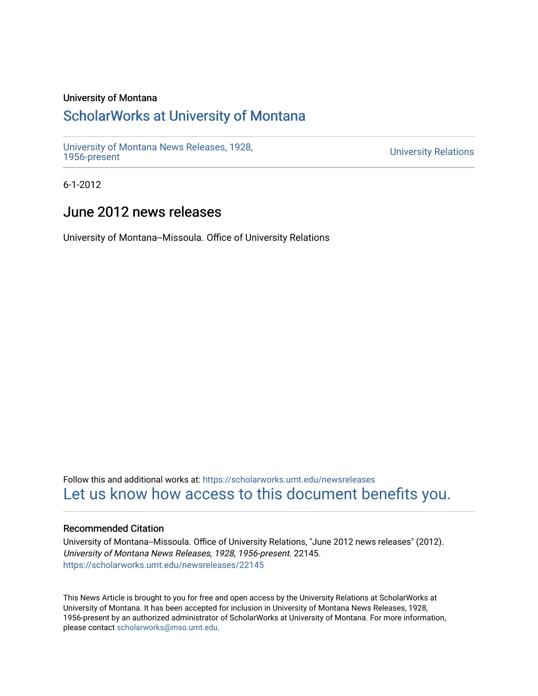# University of Montana

# [ScholarWorks at University of Montana](https://scholarworks.umt.edu/)

[University of Montana News Releases, 1928,](https://scholarworks.umt.edu/newsreleases) 

**University Relations** 

6-1-2012

# June 2012 news releases

University of Montana--Missoula. Office of University Relations

Follow this and additional works at: [https://scholarworks.umt.edu/newsreleases](https://scholarworks.umt.edu/newsreleases?utm_source=scholarworks.umt.edu%2Fnewsreleases%2F22145&utm_medium=PDF&utm_campaign=PDFCoverPages) [Let us know how access to this document benefits you.](https://goo.gl/forms/s2rGfXOLzz71qgsB2) 

# Recommended Citation

University of Montana--Missoula. Office of University Relations, "June 2012 news releases" (2012). University of Montana News Releases, 1928, 1956-present. 22145. [https://scholarworks.umt.edu/newsreleases/22145](https://scholarworks.umt.edu/newsreleases/22145?utm_source=scholarworks.umt.edu%2Fnewsreleases%2F22145&utm_medium=PDF&utm_campaign=PDFCoverPages) 

This News Article is brought to you for free and open access by the University Relations at ScholarWorks at University of Montana. It has been accepted for inclusion in University of Montana News Releases, 1928, 1956-present by an authorized administrator of ScholarWorks at University of Montana. For more information, please contact [scholarworks@mso.umt.edu.](mailto:scholarworks@mso.umt.edu)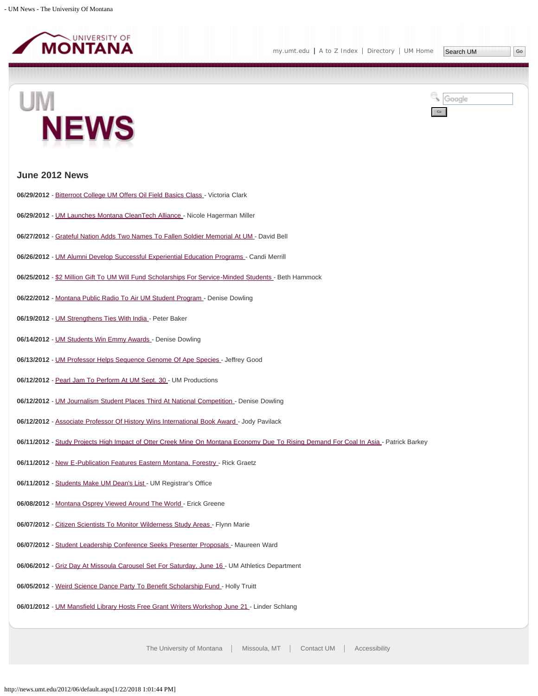

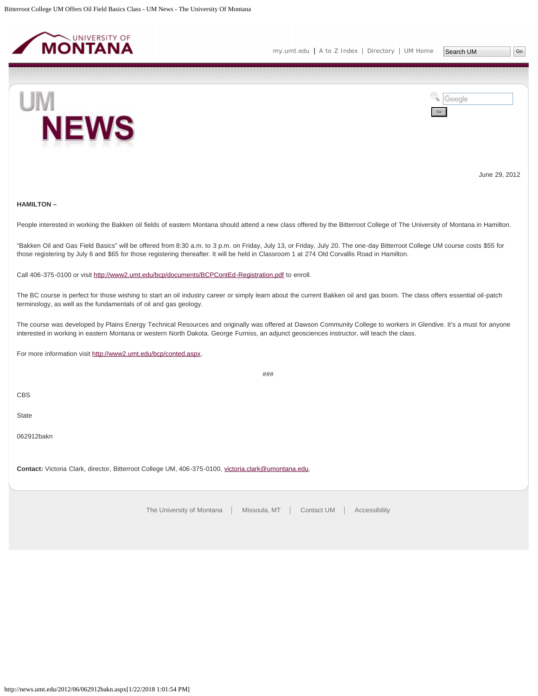<span id="page-3-0"></span>



June 29, 2012

## **HAMILTON –**

People interested in working the Bakken oil fields of eastern Montana should attend a new class offered by the Bitterroot College of The University of Montana in Hamilton.

"Bakken Oil and Gas Field Basics" will be offered from 8:30 a.m. to 3 p.m. on Friday, July 13, or Friday, July 20. The one-day Bitterroot College UM course costs \$55 for those registering by July 6 and \$65 for those registering thereafter. It will be held in Classroom 1 at 274 Old Corvallis Road in Hamilton.

Call 406-375-0100 or visit <http://www2.umt.edu/bcp/documents/BCPContEd-Registration.pdf>to enroll.

The BC course is perfect for those wishing to start an oil industry career or simply learn about the current Bakken oil and gas boom. The class offers essential oil-patch terminology, as well as the fundamentals of oil and gas geology.

The course was developed by Plains Energy Technical Resources and originally was offered at Dawson Community College to workers in Glendive. It's a must for anyone interested in working in eastern Montana or western North Dakota. George Furniss, an adjunct geosciences instructor, will teach the class.

###

For more information visit [http://www2.umt.edu/bcp/conted.aspx.](http://www2.umt.edu/bcp/conted.aspx)

CBS

State

062912bakn

**Contact:** Victoria Clark, director, Bitterroot College UM, 406-375-0100, [victoria.clark@umontana.edu](mailto:victoria.clark@umontana.edu).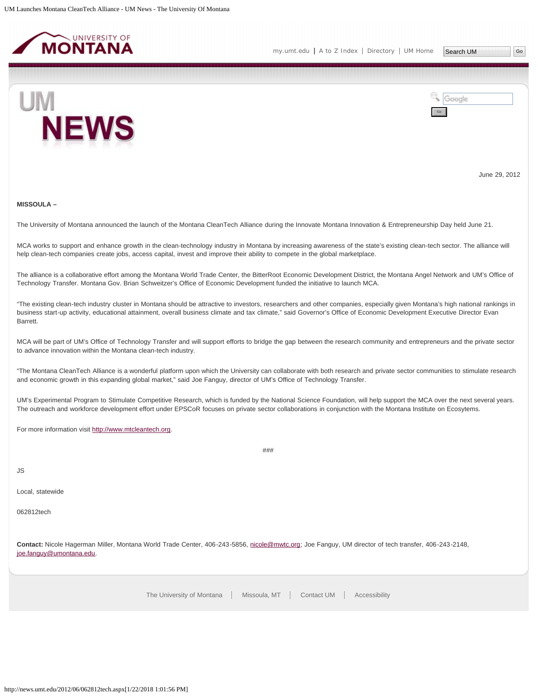<span id="page-4-0"></span>



June 29, 2012

#### **MISSOULA –**

The University of Montana announced the launch of the Montana CleanTech Alliance during the Innovate Montana Innovation & Entrepreneurship Day held June 21.

MCA works to support and enhance growth in the clean-technology industry in Montana by increasing awareness of the state's existing clean-tech sector. The alliance will help clean-tech companies create jobs, access capital, invest and improve their ability to compete in the global marketplace.

The alliance is a collaborative effort among the Montana World Trade Center, the BitterRoot Economic Development District, the Montana Angel Network and UM's Office of Technology Transfer. Montana Gov. Brian Schweitzer's Office of Economic Development funded the initiative to launch MCA.

"The existing clean-tech industry cluster in Montana should be attractive to investors, researchers and other companies, especially given Montana's high national rankings in business start-up activity, educational attainment, overall business climate and tax climate," said Governor's Office of Economic Development Executive Director Evan Barrett.

MCA will be part of UM's Office of Technology Transfer and will support efforts to bridge the gap between the research community and entrepreneurs and the private sector to advance innovation within the Montana clean-tech industry.

"The Montana CleanTech Alliance is a wonderful platform upon which the University can collaborate with both research and private sector communities to stimulate research and economic growth in this expanding global market," said Joe Fanguy, director of UM's Office of Technology Transfer.

UM's Experimental Program to Stimulate Competitive Research, which is funded by the National Science Foundation, will help support the MCA over the next several years. The outreach and workforce development effort under EPSCoR focuses on private sector collaborations in conjunction with the Montana Institute on Ecosytems.

###

For more information visit [http://www.mtcleantech.org](http://www.mtcleantech.org/).

JS

Local, statewide

062812tech

**Contact:** Nicole Hagerman Miller, Montana World Trade Center, 406-243-5856, [nicole@mwtc.org](mailto:nicole@mwtc.org); Joe Fanguy, UM director of tech transfer, 406-243-2148, [joe.fanguy@umontana.edu](mailto:joe.fanguy@umontana.edu).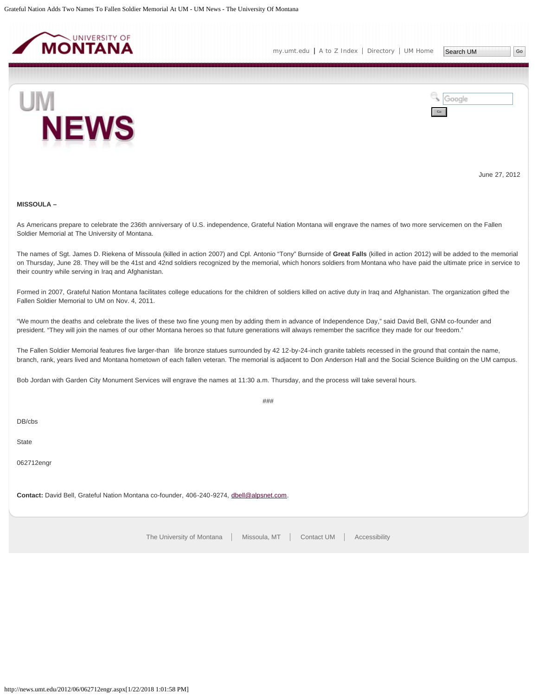<span id="page-5-0"></span>



June 27, 2012

# **MISSOULA –**

As Americans prepare to celebrate the 236th anniversary of U.S. independence, Grateful Nation Montana will engrave the names of two more servicemen on the Fallen Soldier Memorial at The University of Montana.

The names of Sgt. James D. Riekena of Missoula (killed in action 2007) and Cpl. Antonio "Tony" Burnside of **Great Falls** (killed in action 2012) will be added to the memorial on Thursday, June 28. They will be the 41st and 42nd soldiers recognized by the memorial, which honors soldiers from Montana who have paid the ultimate price in service to their country while serving in Iraq and Afghanistan.

Formed in 2007, Grateful Nation Montana facilitates college educations for the children of soldiers killed on active duty in Iraq and Afghanistan. The organization gifted the Fallen Soldier Memorial to UM on Nov. 4, 2011.

"We mourn the deaths and celebrate the lives of these two fine young men by adding them in advance of Independence Day," said David Bell, GNM co-founder and president. "They will join the names of our other Montana heroes so that future generations will always remember the sacrifice they made for our freedom."

The Fallen Soldier Memorial features five larger-than life bronze statues surrounded by 42 12-by-24-inch granite tablets recessed in the ground that contain the name, branch, rank, years lived and Montana hometown of each fallen veteran. The memorial is adjacent to Don Anderson Hall and the Social Science Building on the UM campus.

###

Bob Jordan with Garden City Monument Services will engrave the names at 11:30 a.m. Thursday, and the process will take several hours.

DB/cbs

**State** 

062712engr

**Contact:** David Bell, Grateful Nation Montana co-founder, 406-240-9274, [dbell@alpsnet.com](mailto:dbell@alpsnet.com).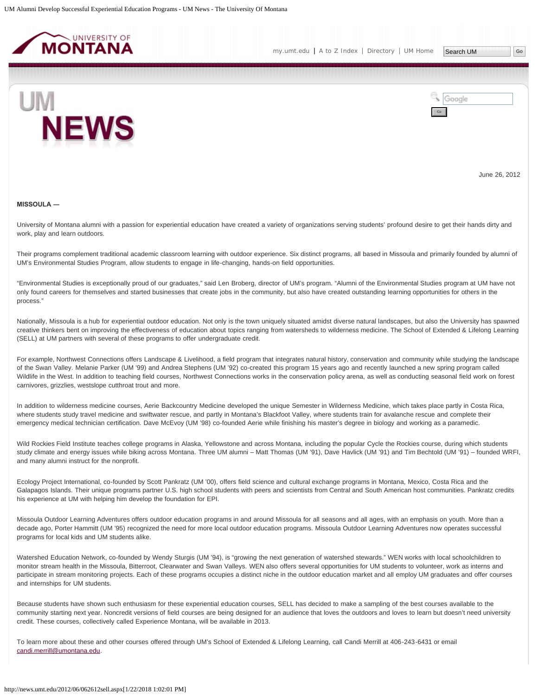<span id="page-6-0"></span>



June 26, 2012

#### **MISSOULA ―**

University of Montana alumni with a passion for experiential education have created a variety of organizations serving students' profound desire to get their hands dirty and work, play and learn outdoors.

Their programs complement traditional academic classroom learning with outdoor experience. Six distinct programs, all based in Missoula and primarily founded by alumni of UM's Environmental Studies Program, allow students to engage in life-changing, hands-on field opportunities.

"Environmental Studies is exceptionally proud of our graduates," said Len Broberg, director of UM's program. "Alumni of the Environmental Studies program at UM have not only found careers for themselves and started businesses that create jobs in the community, but also have created outstanding learning opportunities for others in the process."

Nationally, Missoula is a hub for experiential outdoor education. Not only is the town uniquely situated amidst diverse natural landscapes, but also the University has spawned creative thinkers bent on improving the effectiveness of education about topics ranging from watersheds to wilderness medicine. The School of Extended & Lifelong Learning (SELL) at UM partners with several of these programs to offer undergraduate credit.

For example, Northwest Connections offers Landscape & Livelihood, a field program that integrates natural history, conservation and community while studying the landscape of the Swan Valley. Melanie Parker (UM '99) and Andrea Stephens (UM '92) co-created this program 15 years ago and recently launched a new spring program called Wildlife in the West. In addition to teaching field courses, Northwest Connections works in the conservation policy arena, as well as conducting seasonal field work on forest carnivores, grizzlies, westslope cutthroat trout and more.

In addition to wilderness medicine courses, Aerie Backcountry Medicine developed the unique Semester in Wilderness Medicine, which takes place partly in Costa Rica, where students study travel medicine and swiftwater rescue, and partly in Montana's Blackfoot Valley, where students train for avalanche rescue and complete their emergency medical technician certification. Dave McEvoy (UM '98) co-founded Aerie while finishing his master's degree in biology and working as a paramedic.

Wild Rockies Field Institute teaches college programs in Alaska, Yellowstone and across Montana, including the popular Cycle the Rockies course, during which students study climate and energy issues while biking across Montana. Three UM alumni – Matt Thomas (UM '91), Dave Havlick (UM '91) and Tim Bechtold (UM '91) – founded WRFI, and many alumni instruct for the nonprofit.

Ecology Project International, co-founded by Scott Pankratz (UM '00), offers field science and cultural exchange programs in Montana, Mexico, Costa Rica and the Galapagos Islands. Their unique programs partner U.S. high school students with peers and scientists from Central and South American host communities. Pankratz credits his experience at UM with helping him develop the foundation for EPI.

Missoula Outdoor Learning Adventures offers outdoor education programs in and around Missoula for all seasons and all ages, with an emphasis on youth. More than a decade ago, Porter Hammitt (UM '95) recognized the need for more local outdoor education programs. Missoula Outdoor Learning Adventures now operates successful programs for local kids and UM students alike.

Watershed Education Network, co-founded by Wendy Sturgis (UM '94), is "growing the next generation of watershed stewards." WEN works with local schoolchildren to monitor stream health in the Missoula, Bitterroot, Clearwater and Swan Valleys. WEN also offers several opportunities for UM students to volunteer, work as interns and participate in stream monitoring projects. Each of these programs occupies a distinct niche in the outdoor education market and all employ UM graduates and offer courses and internships for UM students.

Because students have shown such enthusiasm for these experiential education courses, SELL has decided to make a sampling of the best courses available to the community starting next year. Noncredit versions of field courses are being designed for an audience that loves the outdoors and loves to learn but doesn't need university credit. These courses, collectively called Experience Montana, will be available in 2013.

To learn more about these and other courses offered through UM's School of Extended & Lifelong Learning, call Candi Merrill at 406-243-6431 or email [candi.merrill@umontana.edu](mailto:candi.merrill@umontana.edu).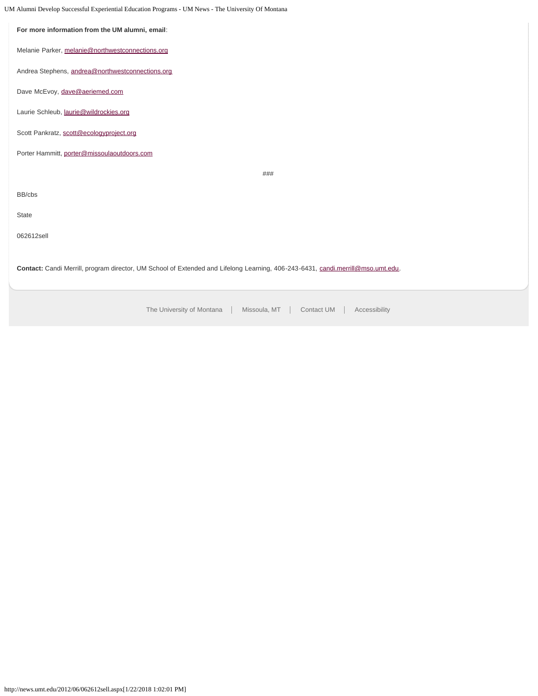UM Alumni Develop Successful Experiential Education Programs - UM News - The University Of Montana

| For more information from the UM alumni, email:                                                                                 |  |  |
|---------------------------------------------------------------------------------------------------------------------------------|--|--|
| Melanie Parker, melanie@northwestconnections.org                                                                                |  |  |
| Andrea Stephens, andrea@northwestconnections.org                                                                                |  |  |
| Dave McEvoy, dave@aeriemed.com                                                                                                  |  |  |
| Laurie Schleub, laurie@wildrockies.org                                                                                          |  |  |
| Scott Pankratz, scott@ecologyproject.org                                                                                        |  |  |
| Porter Hammitt, porter@missoulaoutdoors.com                                                                                     |  |  |
| ###                                                                                                                             |  |  |
| BB/cbs                                                                                                                          |  |  |
| State                                                                                                                           |  |  |
| 062612sell                                                                                                                      |  |  |
| Contact: Candi Merrill, program director, UM School of Extended and Lifelong Learning, 406-243-6431, candi.merrill@mso.umt.edu. |  |  |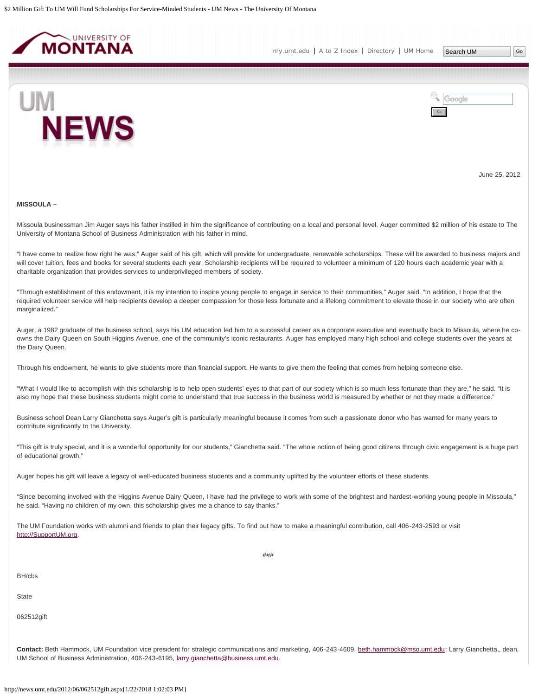<span id="page-8-0"></span>

[my.umt.edu](http://my.umt.edu/) | [A to Z Index](http://www.umt.edu/search/atoz/) | [Directory](http://www.umt.edu/directory/) | [UM Home](http://www.umt.edu/)



Google Go

June 25, 2012

#### **MISSOULA –**

Missoula businessman Jim Auger says his father instilled in him the significance of contributing on a local and personal level. Auger committed \$2 million of his estate to The University of Montana School of Business Administration with his father in mind.

"I have come to realize how right he was," Auger said of his gift, which will provide for undergraduate, renewable scholarships. These will be awarded to business majors and will cover tuition, fees and books for several students each year. Scholarship recipients will be required to volunteer a minimum of 120 hours each academic year with a charitable organization that provides services to underprivileged members of society.

"Through establishment of this endowment, it is my intention to inspire young people to engage in service to their communities," Auger said. "In addition, I hope that the required volunteer service will help recipients develop a deeper compassion for those less fortunate and a lifelong commitment to elevate those in our society who are often marginalized."

Auger, a 1982 graduate of the business school, says his UM education led him to a successful career as a corporate executive and eventually back to Missoula, where he coowns the Dairy Queen on South Higgins Avenue, one of the community's iconic restaurants. Auger has employed many high school and college students over the years at the Dairy Queen.

Through his endowment, he wants to give students more than financial support. He wants to give them the feeling that comes from helping someone else.

"What I would like to accomplish with this scholarship is to help open students' eyes to that part of our society which is so much less fortunate than they are," he said. "It is also my hope that these business students might come to understand that true success in the business world is measured by whether or not they made a difference."

Business school Dean Larry Gianchetta says Auger's gift is particularly meaningful because it comes from such a passionate donor who has wanted for many years to contribute significantly to the University.

"This gift is truly special, and it is a wonderful opportunity for our students," Gianchetta said. "The whole notion of being good citizens through civic engagement is a huge part of educational growth."

Auger hopes his gift will leave a legacy of well-educated business students and a community uplifted by the volunteer efforts of these students.

"Since becoming involved with the Higgins Avenue Dairy Queen, I have had the privilege to work with some of the brightest and hardest-working young people in Missoula," he said. "Having no children of my own, this scholarship gives me a chance to say thanks."

###

The UM Foundation works with alumni and friends to plan their legacy gifts. To find out how to make a meaningful contribution, call 406-243-2593 or visit [http://SupportUM.org](http://supportum.org/).

BH/cbs

**State** 

062512gift

**Contact:** Beth Hammock, UM Foundation vice president for strategic communications and marketing, 406-243-4609, [beth.hammock@mso.umt.edu;](mailto:beth.hammock@mso.umt.edu) Larry Gianchetta,, dean, UM School of Business Administration, 406-243-6195, [larry.gianchetta@business.umt.edu.](mailto:larry.gianchetta@business.umt.edu)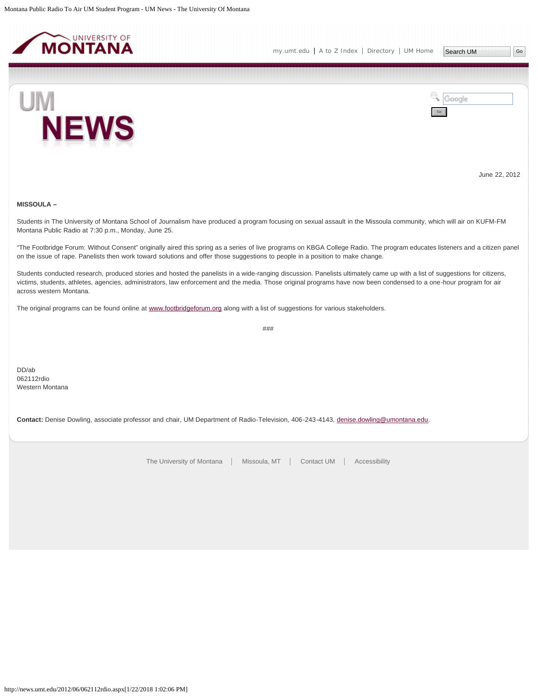<span id="page-10-0"></span>



June 22, 2012

## **MISSOULA –**

Students in The University of Montana School of Journalism have produced a program focusing on sexual assault in the Missoula community, which will air on KUFM-FM Montana Public Radio at 7:30 p.m., Monday, June 25.

"The Footbridge Forum: Without Consent" originally aired this spring as a series of live programs on KBGA College Radio. The program educates listeners and a citizen panel on the issue of rape. Panelists then work toward solutions and offer those suggestions to people in a position to make change.

Students conducted research, produced stories and hosted the panelists in a wide-ranging discussion. Panelists ultimately came up with a list of suggestions for citizens, victims, students, athletes, agencies, administrators, law enforcement and the media. Those original programs have now been condensed to a one-hour program for air across western Montana.

The original programs can be found online at [www.footbridgeforum.org](http://www.footbridgeforum.org/) along with a list of suggestions for various stakeholders.

###

DD/ab 062112rdio Western Montana

**Contact:** Denise Dowling, associate professor and chair, UM Department of Radio-Television, 406-243-4143, [denise.dowling@umontana.edu.](mailto:denise.dowling@umontana.edu)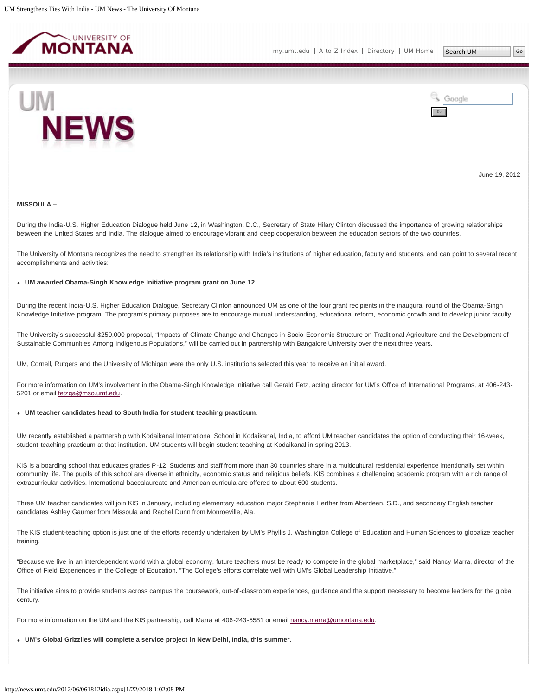<span id="page-11-0"></span>



June 19, 2012

## **MISSOULA –**

During the India-U.S. Higher Education Dialogue held June 12, in Washington, D.C., Secretary of State Hilary Clinton discussed the importance of growing relationships between the United States and India. The dialogue aimed to encourage vibrant and deep cooperation between the education sectors of the two countries.

The University of Montana recognizes the need to strengthen its relationship with India's institutions of higher education, faculty and students, and can point to several recent accomplishments and activities:

#### **UM awarded Obama-Singh Knowledge Initiative program grant on June 12**.

During the recent India-U.S. Higher Education Dialogue, Secretary Clinton announced UM as one of the four grant recipients in the inaugural round of the Obama-Singh Knowledge Initiative program. The program's primary purposes are to encourage mutual understanding, educational reform, economic growth and to develop junior faculty.

The University's successful \$250,000 proposal, "Impacts of Climate Change and Changes in Socio-Economic Structure on Traditional Agriculture and the Development of Sustainable Communities Among Indigenous Populations," will be carried out in partnership with Bangalore University over the next three years.

UM, Cornell, Rutgers and the University of Michigan were the only U.S. institutions selected this year to receive an initial award.

For more information on UM's involvement in the Obama-Singh Knowledge Initiative call Gerald Fetz, acting director for UM's Office of International Programs, at 406-243- 5201 or email [fetzga@mso.umt.edu.](mailto:fetzga@mso.umt.edu)

## **UM teacher candidates head to South India for student teaching practicum**.

UM recently established a partnership with Kodaikanal International School in Kodaikanal, India, to afford UM teacher candidates the option of conducting their 16-week, student-teaching practicum at that institution. UM students will begin student teaching at Kodaikanal in spring 2013.

KIS is a boarding school that educates grades P-12. Students and staff from more than 30 countries share in a multicultural residential experience intentionally set within community life. The pupils of this school are diverse in ethnicity, economic status and religious beliefs. KIS combines a challenging academic program with a rich range of extracurricular activities. International baccalaureate and American curricula are offered to about 600 students.

Three UM teacher candidates will join KIS in January, including elementary education major Stephanie Herther from Aberdeen, S.D., and secondary English teacher candidates Ashley Gaumer from Missoula and Rachel Dunn from Monroeville, Ala.

The KIS student-teaching option is just one of the efforts recently undertaken by UM's Phyllis J. Washington College of Education and Human Sciences to globalize teacher training.

"Because we live in an interdependent world with a global economy, future teachers must be ready to compete in the global marketplace," said Nancy Marra, director of the Office of Field Experiences in the College of Education. "The College's efforts correlate well with UM's Global Leadership Initiative."

The initiative aims to provide students across campus the coursework, out-of-classroom experiences, guidance and the support necessary to become leaders for the global century.

For more information on the UM and the KIS partnership, call Marra at 406-243-5581 or email [nancy.marra@umontana.edu.](mailto:nancy.marra@umontana.edu)

**UM's Global Grizzlies will complete a service project in New Delhi, India, this summer**.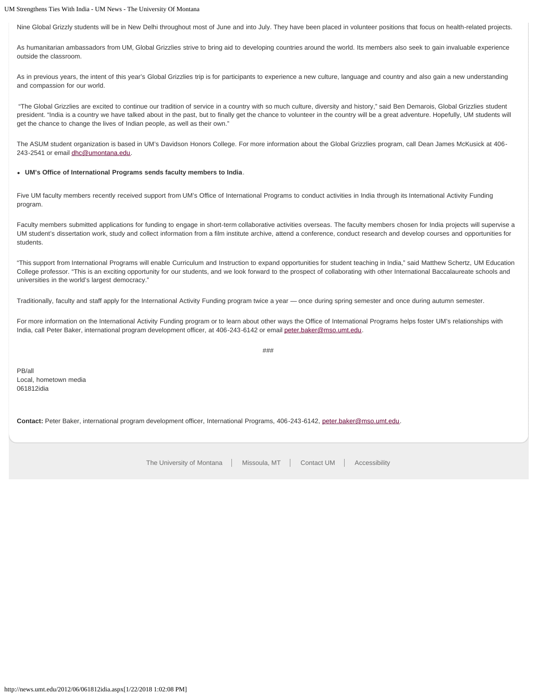# UM Strengthens Ties With India - UM News - The University Of Montana

Nine Global Grizzly students will be in New Delhi throughout most of June and into July. They have been placed in volunteer positions that focus on health-related projects.

As humanitarian ambassadors from UM, Global Grizzlies strive to bring aid to developing countries around the world. Its members also seek to gain invaluable experience outside the classroom.

As in previous years, the intent of this year's Global Grizzlies trip is for participants to experience a new culture, language and country and also gain a new understanding and compassion for our world.

"The Global Grizzlies are excited to continue our tradition of service in a country with so much culture, diversity and history," said Ben Demarois, Global Grizzlies student president. "India is a country we have talked about in the past, but to finally get the chance to volunteer in the country will be a great adventure. Hopefully, UM students will get the chance to change the lives of Indian people, as well as their own."

The ASUM student organization is based in UM's Davidson Honors College. For more information about the Global Grizzlies program, call Dean James McKusick at 406 243-2541 or email [dhc@umontana.edu.](mailto:dhc@umontana.edu)

# **UM's Office of International Programs sends faculty members to India**.

Five UM faculty members recently received support from UM's Office of International Programs to conduct activities in India through its International Activity Funding program.

Faculty members submitted applications for funding to engage in short-term collaborative activities overseas. The faculty members chosen for India projects will supervise a UM student's dissertation work, study and collect information from a film institute archive, attend a conference, conduct research and develop courses and opportunities for students.

"This support from International Programs will enable Curriculum and Instruction to expand opportunities for student teaching in India," said Matthew Schertz, UM Education College professor. "This is an exciting opportunity for our students, and we look forward to the prospect of collaborating with other International Baccalaureate schools and universities in the world's largest democracy."

Traditionally, faculty and staff apply for the International Activity Funding program twice a year — once during spring semester and once during autumn semester.

For more information on the International Activity Funding program or to learn about other ways the Office of International Programs helps foster UM's relationships with India, call Peter Baker, international program development officer, at 406-243-6142 or email [peter.baker@mso.umt.edu.](mailto:peter.baker@mso.umt.edu)

PB/all Local, hometown media 061812idia

**Contact:** Peter Baker, international program development officer, International Programs, 406-243-6142, [peter.baker@mso.umt.edu](mailto:peter.baker@mso.umt.edu).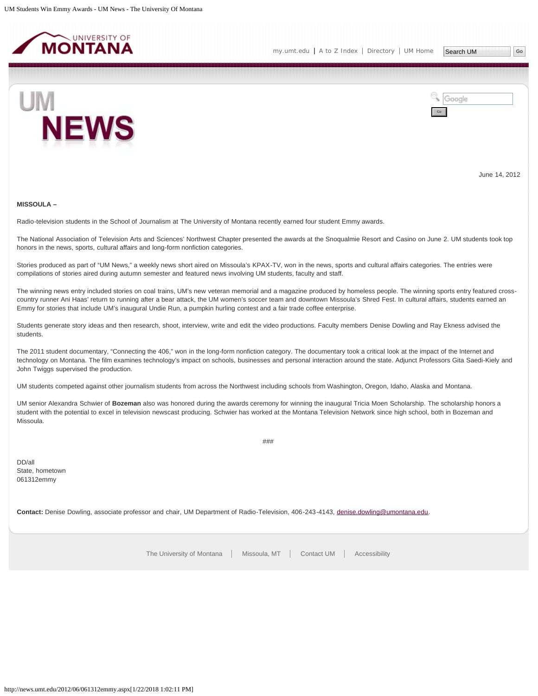<span id="page-13-0"></span>



June 14, 2012

#### **MISSOULA –**

Radio-television students in the School of Journalism at The University of Montana recently earned four student Emmy awards.

The National Association of Television Arts and Sciences' Northwest Chapter presented the awards at the Snoqualmie Resort and Casino on June 2. UM students took top honors in the news, sports, cultural affairs and long-form nonfiction categories.

Stories produced as part of "UM News," a weekly news short aired on Missoula's KPAX-TV, won in the news, sports and cultural affairs categories. The entries were compilations of stories aired during autumn semester and featured news involving UM students, faculty and staff.

The winning news entry included stories on coal trains, UM's new veteran memorial and a magazine produced by homeless people. The winning sports entry featured crosscountry runner Ani Haas' return to running after a bear attack, the UM women's soccer team and downtown Missoula's Shred Fest. In cultural affairs, students earned an Emmy for stories that include UM's inaugural Undie Run, a pumpkin hurling contest and a fair trade coffee enterprise.

Students generate story ideas and then research, shoot, interview, write and edit the video productions. Faculty members Denise Dowling and Ray Ekness advised the students.

The 2011 student documentary, "Connecting the 406," won in the long-form nonfiction category. The documentary took a critical look at the impact of the Internet and technology on Montana. The film examines technology's impact on schools, businesses and personal interaction around the state. Adjunct Professors Gita Saedi-Kiely and John Twiggs supervised the production.

UM students competed against other journalism students from across the Northwest including schools from Washington, Oregon, Idaho, Alaska and Montana.

UM senior Alexandra Schwier of **Bozeman** also was honored during the awards ceremony for winning the inaugural Tricia Moen Scholarship. The scholarship honors a student with the potential to excel in television newscast producing. Schwier has worked at the Montana Television Network since high school, both in Bozeman and Missoula.

###

DD/all State, hometown 061312emmy

**Contact:** Denise Dowling, associate professor and chair, UM Department of Radio-Television, 406-243-4143, [denise.dowling@umontana.edu.](mailto:denise.dowling@umontana.edu)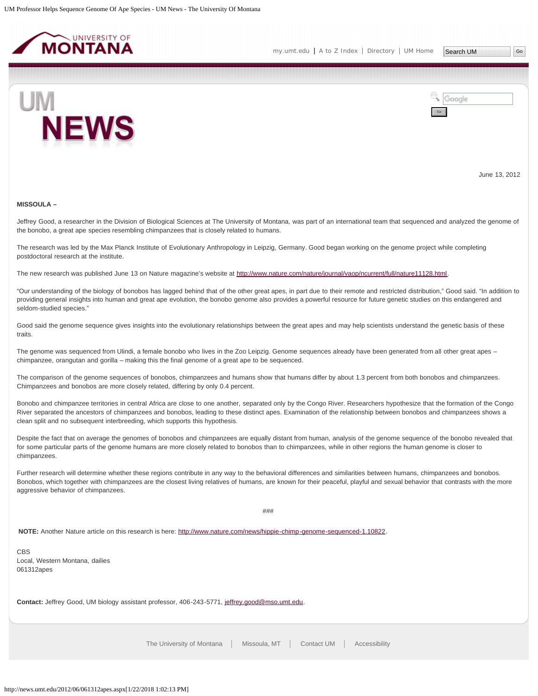<span id="page-14-0"></span>

Search UM



Google Go

June 13, 2012

#### **MISSOULA –**

Jeffrey Good, a researcher in the Division of Biological Sciences at The University of Montana, was part of an international team that sequenced and analyzed the genome of the bonobo, a great ape species resembling chimpanzees that is closely related to humans.

The research was led by the Max Planck Institute of Evolutionary Anthropology in Leipzig, Germany. Good began working on the genome project while completing postdoctoral research at the institute.

The new research was published June 13 on Nature magazine's website at [http://www.nature.com/nature/journal/vaop/ncurrent/full/nature11128.html.](http://www.nature.com/nature/journal/vaop/ncurrent/full/nature11128.html)

"Our understanding of the biology of bonobos has lagged behind that of the other great apes, in part due to their remote and restricted distribution," Good said. "In addition to providing general insights into human and great ape evolution, the bonobo genome also provides a powerful resource for future genetic studies on this endangered and seldom-studied species."

Good said the genome sequence gives insights into the evolutionary relationships between the great apes and may help scientists understand the genetic basis of these traits.

The genome was sequenced from Ulindi, a female bonobo who lives in the Zoo Leipzig. Genome sequences already have been generated from all other great apes chimpanzee, orangutan and gorilla – making this the final genome of a great ape to be sequenced.

The comparison of the genome sequences of bonobos, chimpanzees and humans show that humans differ by about 1.3 percent from both bonobos and chimpanzees. Chimpanzees and bonobos are more closely related, differing by only 0.4 percent.

Bonobo and chimpanzee territories in central Africa are close to one another, separated only by the Congo River. Researchers hypothesize that the formation of the Congo River separated the ancestors of chimpanzees and bonobos, leading to these distinct apes. Examination of the relationship between bonobos and chimpanzees shows a clean split and no subsequent interbreeding, which supports this hypothesis.

Despite the fact that on average the genomes of bonobos and chimpanzees are equally distant from human, analysis of the genome sequence of the bonobo revealed that for some particular parts of the genome humans are more closely related to bonobos than to chimpanzees, while in other regions the human genome is closer to chimpanzees.

Further research will determine whether these regions contribute in any way to the behavioral differences and similarities between humans, chimpanzees and bonobos. Bonobos, which together with chimpanzees are the closest living relatives of humans, are known for their peaceful, playful and sexual behavior that contrasts with the more aggressive behavior of chimpanzees.

###

**NOTE:** Another Nature article on this research is here:<http://www.nature.com/news/hippie-chimp-genome-sequenced-1.10822>.

CBS Local, Western Montana, dailies 061312apes

**Contact:** Jeffrey Good, UM biology assistant professor, 406-243-5771, [jeffrey.good@mso.umt.edu](mailto:jeffrey.good@mso.umt.edu).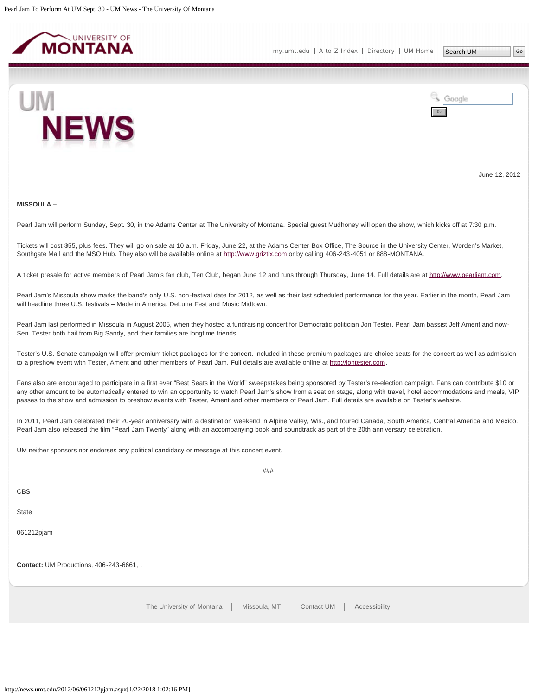<span id="page-15-0"></span>



June 12, 2012

#### **MISSOULA –**

Pearl Jam will perform Sunday, Sept. 30, in the Adams Center at The University of Montana. Special guest Mudhoney will open the show, which kicks off at 7:30 p.m.

Tickets will cost \$55, plus fees. They will go on sale at 10 a.m. Friday, June 22, at the Adams Center Box Office, The Source in the University Center, Worden's Market, Southgate Mall and the MSO Hub. They also will be available online at [http://www.griztix.com](http://www.griztix.com/) or by calling 406-243-4051 or 888-MONTANA.

A ticket presale for active members of Pearl Jam's fan club, Ten Club, began June 12 and runs through Thursday, June 14. Full details are at [http://www.pearljam.com](http://www.pearljam.com/).

Pearl Jam's Missoula show marks the band's only U.S. non-festival date for 2012, as well as their last scheduled performance for the year. Earlier in the month, Pearl Jam will headline three U.S. festivals – Made in America, DeLuna Fest and Music Midtown.

Pearl Jam last performed in Missoula in August 2005, when they hosted a fundraising concert for Democratic politician Jon Tester. Pearl Jam bassist Jeff Ament and now-Sen. Tester both hail from Big Sandy, and their families are longtime friends.

Tester's U.S. Senate campaign will offer premium ticket packages for the concert. Included in these premium packages are choice seats for the concert as well as admission to a preshow event with Tester, Ament and other members of Pearl Jam. Full details are available online at [http://jontester.com](http://jontester.com/).

Fans also are encouraged to participate in a first ever "Best Seats in the World" sweepstakes being sponsored by Tester's re-election campaign. Fans can contribute \$10 or any other amount to be automatically entered to win an opportunity to watch Pearl Jam's show from a seat on stage, along with travel, hotel accommodations and meals, VIP passes to the show and admission to preshow events with Tester, Ament and other members of Pearl Jam. Full details are available on Tester's website.

In 2011, Pearl Jam celebrated their 20-year anniversary with a destination weekend in Alpine Valley, Wis., and toured Canada, South America, Central America and Mexico. Pearl Jam also released the film "Pearl Jam Twenty" along with an accompanying book and soundtrack as part of the 20th anniversary celebration.

###

UM neither sponsors nor endorses any political candidacy or message at this concert event.

CBS

**State** 

061212pjam

**Contact:** UM Productions, 406-243-6661, .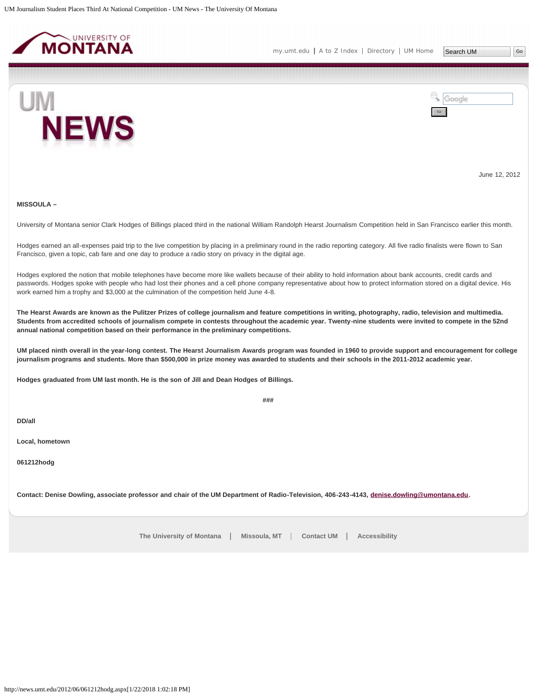<span id="page-16-0"></span>



June 12, 2012

# **MISSOULA –**

University of Montana senior Clark Hodges of Billings placed third in the national William Randolph Hearst Journalism Competition held in San Francisco earlier this month.

Hodges earned an all-expenses paid trip to the live competition by placing in a preliminary round in the radio reporting category. All five radio finalists were flown to San Francisco, given a topic, cab fare and one day to produce a radio story on privacy in the digital age.

Hodges explored the notion that mobile telephones have become more like wallets because of their ability to hold information about bank accounts, credit cards and passwords. Hodges spoke with people who had lost their phones and a cell phone company representative about how to protect information stored on a digital device. His work earned him a trophy and \$3,000 at the culmination of the competition held June 4-8.

**The Hearst Awards are known as the Pulitzer Prizes of college journalism and feature competitions in writing, photography, radio, television and multimedia. Students from accredited schools of journalism compete in contests throughout the academic year. Twenty-nine students were invited to compete in the 52nd annual national competition based on their performance in the preliminary competitions.**

**UM placed ninth overall in the year-long contest. The Hearst Journalism Awards program was founded in 1960 to provide support and encouragement for college journalism programs and students. More than \$500,000 in prize money was awarded to students and their schools in the 2011-2012 academic year.**

**###**

**Hodges graduated from UM last month. He is the son of Jill and Dean Hodges of Billings.**

**DD/all**

**Local, hometown**

**061212hodg**

Contact: Denise Dowling, associate professor and chair of the UM Department of Radio-Television, 406-243-4143, *[denise.dowling@umontana.edu.](mailto:denise.dowling@umontana.edu)*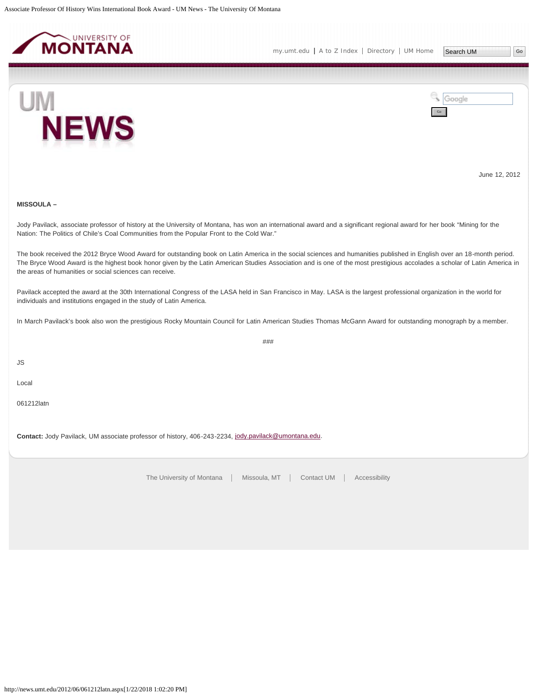<span id="page-17-0"></span>



June 12, 2012

# **MISSOULA –**

Jody Pavilack, associate professor of history at the University of Montana, has won an international award and a significant regional award for her book "Mining for the Nation: The Politics of Chile's Coal Communities from the Popular Front to the Cold War."

The book received the 2012 Bryce Wood Award for outstanding book on Latin America in the social sciences and humanities published in English over an 18-month period. The Bryce Wood Award is the highest book honor given by the Latin American Studies Association and is one of the most prestigious accolades a scholar of Latin America in the areas of humanities or social sciences can receive.

Pavilack accepted the award at the 30th International Congress of the LASA held in San Francisco in May. LASA is the largest professional organization in the world for individuals and institutions engaged in the study of Latin America.

In March Pavilack's book also won the prestigious Rocky Mountain Council for Latin American Studies Thomas McGann Award for outstanding monograph by a member.

###

JS

Local

061212latn

**Contact:** Jody Pavilack, UM associate professor of history, 406-243-2234, [jody.pavilack@umontana.edu](mailto:jody.pavilack@umontana.edu).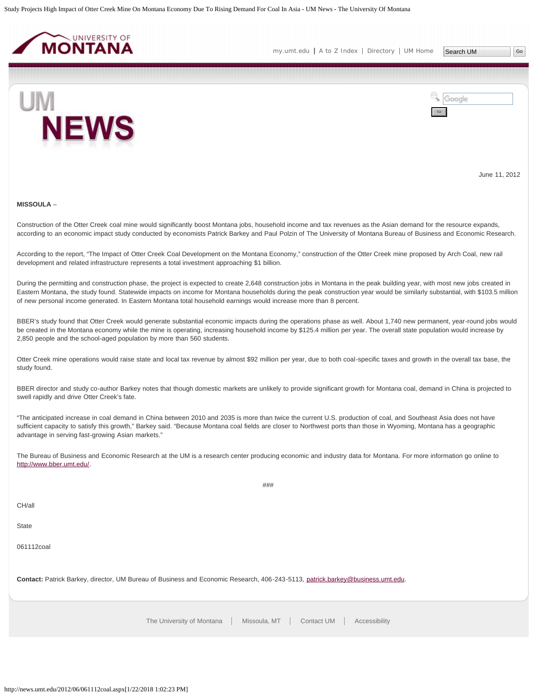<span id="page-18-0"></span>

[my.umt.edu](http://my.umt.edu/) | [A to Z Index](http://www.umt.edu/search/atoz/) | [Directory](http://www.umt.edu/directory/) | [UM Home](http://www.umt.edu/) Search UM



Google Go

June 11, 2012

#### **MISSOULA** –

Construction of the Otter Creek coal mine would significantly boost Montana jobs, household income and tax revenues as the Asian demand for the resource expands, according to an economic impact study conducted by economists Patrick Barkey and Paul Polzin of The University of Montana Bureau of Business and Economic Research.

According to the report, "The Impact of Otter Creek Coal Development on the Montana Economy," construction of the Otter Creek mine proposed by Arch Coal, new rail development and related infrastructure represents a total investment approaching \$1 billion.

During the permitting and construction phase, the project is expected to create 2,648 construction jobs in Montana in the peak building year, with most new jobs created in Eastern Montana, the study found. Statewide impacts on income for Montana households during the peak construction year would be similarly substantial, with \$103.5 million of new personal income generated. In Eastern Montana total household earnings would increase more than 8 percent.

BBER's study found that Otter Creek would generate substantial economic impacts during the operations phase as well. About 1,740 new permanent, year-round jobs would be created in the Montana economy while the mine is operating, increasing household income by \$125.4 million per year. The overall state population would increase by 2,850 people and the school-aged population by more than 560 students.

Otter Creek mine operations would raise state and local tax revenue by almost \$92 million per year, due to both coal-specific taxes and growth in the overall tax base, the study found.

BBER director and study co-author Barkey notes that though domestic markets are unlikely to provide significant growth for Montana coal, demand in China is projected to swell rapidly and drive Otter Creek's fate.

"The anticipated increase in coal demand in China between 2010 and 2035 is more than twice the current U.S. production of coal, and Southeast Asia does not have sufficient capacity to satisfy this growth," Barkey said. "Because Montana coal fields are closer to Northwest ports than those in Wyoming, Montana has a geographic advantage in serving fast-growing Asian markets."

The Bureau of Business and Economic Research at the UM is a research center producing economic and industry data for Montana. For more information go online to [http://www.bber.umt.edu/.](http://www.bber.umt.edu/)

###

CH/all

**State** 

061112coal

**Contact:** Patrick Barkey, director, UM Bureau of Business and Economic Research, 406-243-5113, [patrick.barkey@business.umt.edu.](mailto:patrick.barkey@business.umt.edu)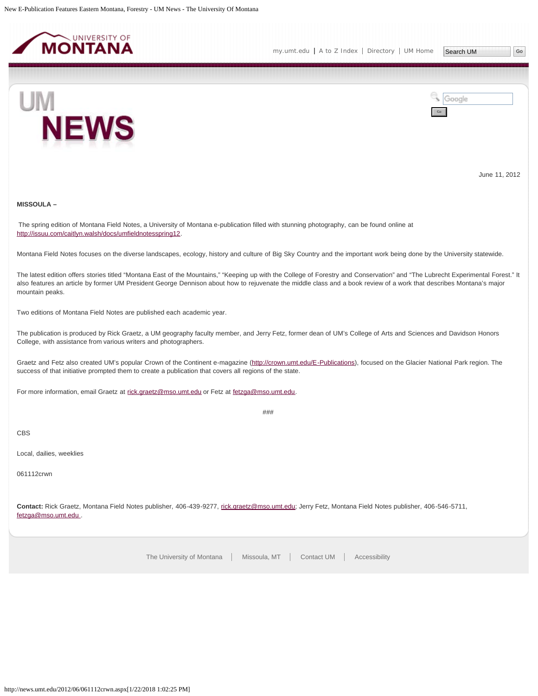<span id="page-19-0"></span>



June 11, 2012

# **MISSOULA –**

The spring edition of Montana Field Notes, a University of Montana e-publication filled with stunning photography, can be found online at <http://issuu.com/caitlyn.walsh/docs/umfieldnotesspring12>.

Montana Field Notes focuses on the diverse landscapes, ecology, history and culture of Big Sky Country and the important work being done by the University statewide.

The latest edition offers stories titled "Montana East of the Mountains," "Keeping up with the College of Forestry and Conservation" and "The Lubrecht Experimental Forest." It also features an article by former UM President George Dennison about how to rejuvenate the middle class and a book review of a work that describes Montana's major mountain peaks.

Two editions of Montana Field Notes are published each academic year.

The publication is produced by Rick Graetz, a UM geography faculty member, and Jerry Fetz, former dean of UM's College of Arts and Sciences and Davidson Honors College, with assistance from various writers and photographers.

Graetz and Fetz also created UM's popular Crown of the Continent e-magazine ([http://crown.umt.edu/E-Publications\)](http://crown.umt.edu/E-Publications), focused on the Glacier National Park region. The success of that initiative prompted them to create a publication that covers all regions of the state.

For more information, email Graetz at [rick.graetz@mso.umt.edu](mailto:rick.graetz@mso.umt.edu) or Fetz at [fetzga@mso.umt.edu](mailto:fetzga@mso.umt.edu).

###

# CBS

Local, dailies, weeklies

061112crwn

**Contact:** Rick Graetz, Montana Field Notes publisher, 406-439-9277, [rick.graetz@mso.umt.edu](mailto:rick.graetz@mso.umt.edu); Jerry Fetz, Montana Field Notes publisher, 406-546-5711, [fetzga@mso.umt.edu .](mailto:fetzga@mso.umt.edu)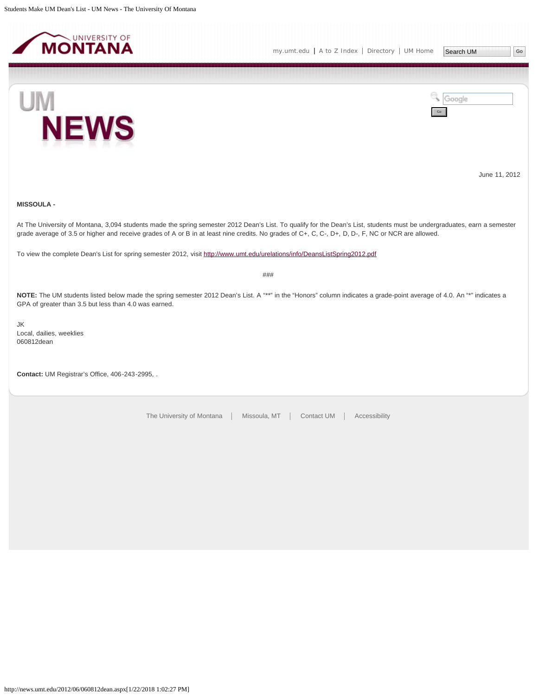<span id="page-20-0"></span>



June 11, 2012

# **MISSOULA -**

At The University of Montana, 3,094 students made the spring semester 2012 Dean's List. To qualify for the Dean's List, students must be undergraduates, earn a semester grade average of 3.5 or higher and receive grades of A or B in at least nine credits. No grades of C+, C, C-, D+, D, D-, F, NC or NCR are allowed.

To view the complete Dean's List for spring semester 2012, visit <http://www.umt.edu/urelations/info/DeansListSpring2012.pdf>

###

NOTE: The UM students listed below made the spring semester 2012 Dean's List. A "\*\*" in the "Honors" column indicates a grade-point average of 4.0. An "\*" indicates a GPA of greater than 3.5 but less than 4.0 was earned.

JK Local, dailies, weeklies 060812dean

**Contact:** UM Registrar's Office, 406-243-2995, .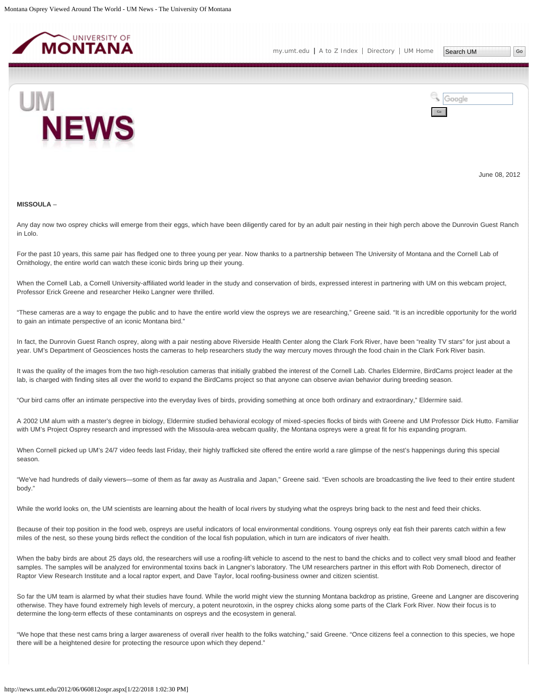<span id="page-21-0"></span>



June 08, 2012

#### **MISSOULA** –

Any day now two osprey chicks will emerge from their eggs, which have been diligently cared for by an adult pair nesting in their high perch above the Dunrovin Guest Ranch in Lolo.

For the past 10 years, this same pair has fledged one to three young per year. Now thanks to a partnership between The University of Montana and the Cornell Lab of Ornithology, the entire world can watch these iconic birds bring up their young.

When the Cornell Lab, a Cornell University-affiliated world leader in the study and conservation of birds, expressed interest in partnering with UM on this webcam project, Professor Erick Greene and researcher Heiko Langner were thrilled.

"These cameras are a way to engage the public and to have the entire world view the ospreys we are researching," Greene said. "It is an incredible opportunity for the world to gain an intimate perspective of an iconic Montana bird."

In fact, the Dunrovin Guest Ranch osprey, along with a pair nesting above Riverside Health Center along the Clark Fork River, have been "reality TV stars" for just about a year. UM's Department of Geosciences hosts the cameras to help researchers study the way mercury moves through the food chain in the Clark Fork River basin.

It was the quality of the images from the two high-resolution cameras that initially grabbed the interest of the Cornell Lab. Charles Eldermire, BirdCams project leader at the lab, is charged with finding sites all over the world to expand the BirdCams project so that anyone can observe avian behavior during breeding season.

"Our bird cams offer an intimate perspective into the everyday lives of birds, providing something at once both ordinary and extraordinary," Eldermire said.

A 2002 UM alum with a master's degree in biology, Eldermire studied behavioral ecology of mixed-species flocks of birds with Greene and UM Professor Dick Hutto. Familiar with UM's Project Osprey research and impressed with the Missoula-area webcam quality, the Montana ospreys were a great fit for his expanding program.

When Cornell picked up UM's 24/7 video feeds last Friday, their highly trafficked site offered the entire world a rare glimpse of the nest's happenings during this special season.

"We've had hundreds of daily viewers—some of them as far away as Australia and Japan," Greene said. "Even schools are broadcasting the live feed to their entire student body."

While the world looks on, the UM scientists are learning about the health of local rivers by studying what the ospreys bring back to the nest and feed their chicks.

Because of their top position in the food web, ospreys are useful indicators of local environmental conditions. Young ospreys only eat fish their parents catch within a few miles of the nest, so these young birds reflect the condition of the local fish population, which in turn are indicators of river health.

When the baby birds are about 25 days old, the researchers will use a roofing-lift vehicle to ascend to the nest to band the chicks and to collect very small blood and feather samples. The samples will be analyzed for environmental toxins back in Langner's laboratory. The UM researchers partner in this effort with Rob Domenech, director of Raptor View Research Institute and a local raptor expert, and Dave Taylor, local roofing-business owner and citizen scientist.

So far the UM team is alarmed by what their studies have found. While the world might view the stunning Montana backdrop as pristine, Greene and Langner are discovering otherwise. They have found extremely high levels of mercury, a potent neurotoxin, in the osprey chicks along some parts of the Clark Fork River. Now their focus is to determine the long-term effects of these contaminants on ospreys and the ecosystem in general.

"We hope that these nest cams bring a larger awareness of overall river health to the folks watching," said Greene. "Once citizens feel a connection to this species, we hope there will be a heightened desire for protecting the resource upon which they depend."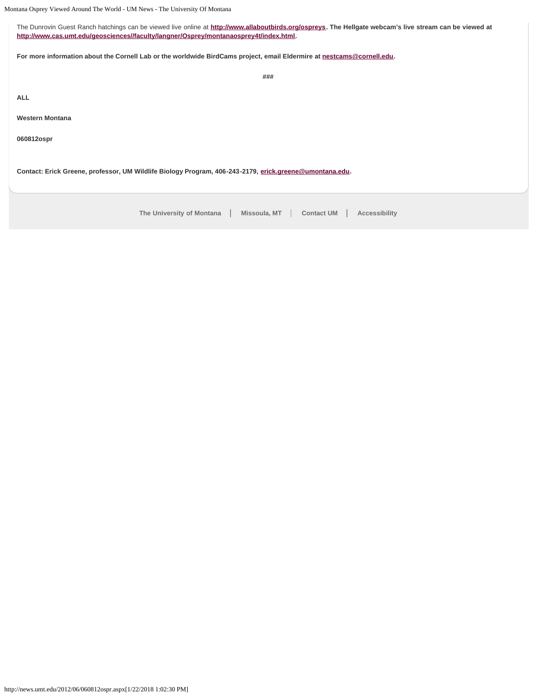Montana Osprey Viewed Around The World - UM News - The University Of Montana

The Dunrovin Guest Ranch hatchings can be viewed live online at **<http://www.allaboutbirds.org/ospreys>. The Hellgate webcam's live stream can be viewed at [http://www.cas.umt.edu/geosciences//faculty/langner/Osprey/montanaosprey4t/index.html](http://www.cas.umt.edu/geosciences/faculty/langner/Osprey/montanaosprey4t/index.html).**

**For more information about the Cornell Lab or the worldwide BirdCams project, email Eldermire at [nestcams@cornell.edu](mailto:nestcams@cornell.edu).**

**###**

**ALL**

**Western Montana**

**060812ospr**

**Contact: Erick Greene, professor, UM Wildlife Biology Program, 406-243-2179, [erick.greene@umontana.edu.](mailto:erick.greene@umontana.edu)**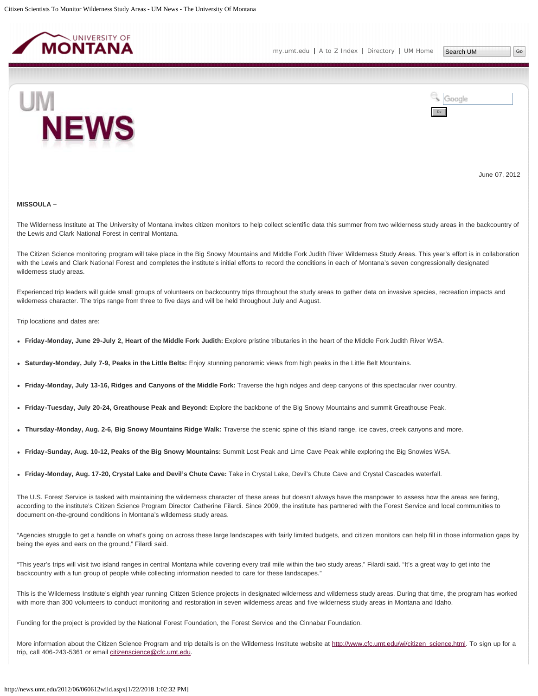<span id="page-23-0"></span>



June 07, 2012

#### **MISSOULA –**

The Wilderness Institute at The University of Montana invites citizen monitors to help collect scientific data this summer from two wilderness study areas in the backcountry of the Lewis and Clark National Forest in central Montana.

The Citizen Science monitoring program will take place in the Big Snowy Mountains and Middle Fork Judith River Wilderness Study Areas. This year's effort is in collaboration with the Lewis and Clark National Forest and completes the institute's initial efforts to record the conditions in each of Montana's seven congressionally designated wilderness study areas.

Experienced trip leaders will guide small groups of volunteers on backcountry trips throughout the study areas to gather data on invasive species, recreation impacts and wilderness character. The trips range from three to five days and will be held throughout July and August.

Trip locations and dates are:

- **Friday-Monday, June 29-July 2, Heart of the Middle Fork Judith:** Explore pristine tributaries in the heart of the Middle Fork Judith River WSA.
- **Saturday-Monday, July 7-9, Peaks in the Little Belts:** Enjoy stunning panoramic views from high peaks in the Little Belt Mountains.
- **Friday-Monday, July 13-16, Ridges and Canyons of the Middle Fork:** Traverse the high ridges and deep canyons of this spectacular river country.
- **Friday-Tuesday, July 20-24, Greathouse Peak and Beyond:** Explore the backbone of the Big Snowy Mountains and summit Greathouse Peak.
- **Thursday-Monday, Aug. 2-6, Big Snowy Mountains Ridge Walk:** Traverse the scenic spine of this island range, ice caves, creek canyons and more.
- **Friday-Sunday, Aug. 10-12, Peaks of the Big Snowy Mountains:** Summit Lost Peak and Lime Cave Peak while exploring the Big Snowies WSA.
- **Friday-Monday, Aug. 17-20, Crystal Lake and Devil's Chute Cave:** Take in Crystal Lake, Devil's Chute Cave and Crystal Cascades waterfall.

The U.S. Forest Service is tasked with maintaining the wilderness character of these areas but doesn't always have the manpower to assess how the areas are faring, according to the institute's Citizen Science Program Director Catherine Filardi. Since 2009, the institute has partnered with the Forest Service and local communities to document on-the-ground conditions in Montana's wilderness study areas.

"Agencies struggle to get a handle on what's going on across these large landscapes with fairly limited budgets, and citizen monitors can help fill in those information gaps by being the eyes and ears on the ground," Filardi said.

"This year's trips will visit two island ranges in central Montana while covering every trail mile within the two study areas," Filardi said. "It's a great way to get into the backcountry with a fun group of people while collecting information needed to care for these landscapes."

This is the Wilderness Institute's eighth year running Citizen Science projects in designated wilderness and wilderness study areas. During that time, the program has worked with more than 300 volunteers to conduct monitoring and restoration in seven wilderness areas and five wilderness study areas in Montana and Idaho.

Funding for the project is provided by the National Forest Foundation, the Forest Service and the Cinnabar Foundation.

More information about the Citizen Science Program and trip details is on the Wilderness Institute website at [http://www.cfc.umt.edu/wi/citizen\\_science.html](http://www.cfc.umt.edu/wi/citizen_science.html). To sign up for a trip, call 406-243-5361 or email [citizenscience@cfc.umt.edu](mailto:citizenscience@cfc.umt.edu).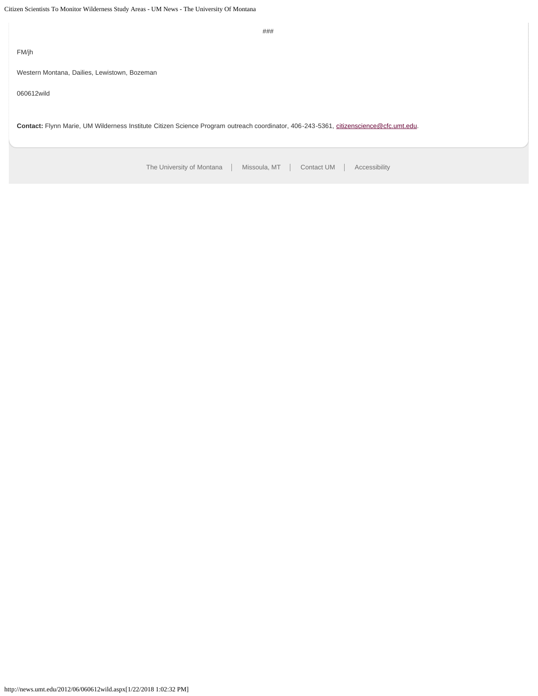[The University of Montana](http://www.umt.edu/) | Missoula, MT | [Contact UM](http://www.umt.edu/comments) | [Accessibility](http://www.umt.edu/home/accessibility) ### FM/jh Western Montana, Dailies, Lewistown, Bozeman 060612wild Contact: Flynn Marie, UM Wilderness Institute Citizen Science Program outreach coordinator, 406-243-5361, [citizenscience@cfc.umt.edu.](mailto:citizenscience@cfc.umt.edu)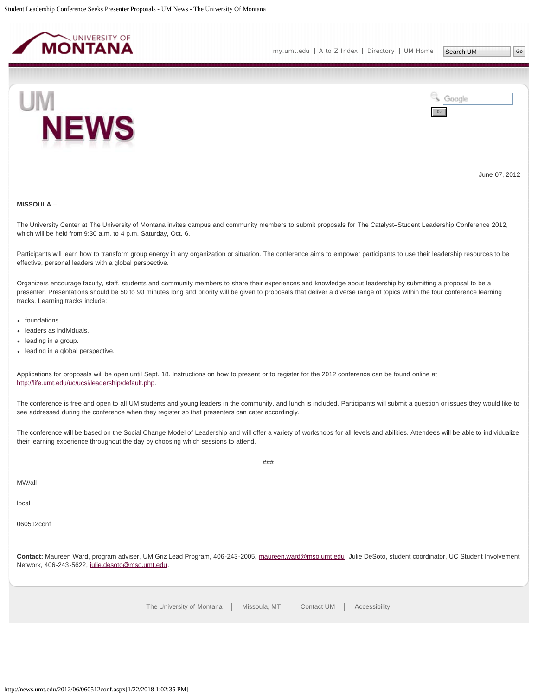<span id="page-25-0"></span>



June 07, 2012

# **MISSOULA** –

The University Center at The University of Montana invites campus and community members to submit proposals for The Catalyst–Student Leadership Conference 2012, which will be held from 9:30 a.m. to 4 p.m. Saturday, Oct. 6.

Participants will learn how to transform group energy in any organization or situation. The conference aims to empower participants to use their leadership resources to be effective, personal leaders with a global perspective.

Organizers encourage faculty, staff, students and community members to share their experiences and knowledge about leadership by submitting a proposal to be a presenter. Presentations should be 50 to 90 minutes long and priority will be given to proposals that deliver a diverse range of topics within the four conference learning tracks. Learning tracks include:

- foundations.
- leaders as individuals.
- leading in a group.
- leading in a global perspective.

Applications for proposals will be open until Sept. 18. Instructions on how to present or to register for the 2012 conference can be found online at <http://life.umt.edu/uc/ucsi/leadership/default.php>.

The conference is free and open to all UM students and young leaders in the community, and lunch is included. Participants will submit a question or issues they would like to see addressed during the conference when they register so that presenters can cater accordingly.

The conference will be based on the Social Change Model of Leadership and will offer a variety of workshops for all levels and abilities. Attendees will be able to individualize their learning experience throughout the day by choosing which sessions to attend.

###

local

060512conf

**Contact:** Maureen Ward, program adviser, UM Griz Lead Program, 406-243-2005, [maureen.ward@mso.umt.edu;](mailto:maureen.ward@mso.umt.edu) Julie DeSoto, student coordinator, UC Student Involvement Network, 406-243-5622, [julie.desoto@mso.umt.edu](mailto:julie.desoto@mso.umt.edu).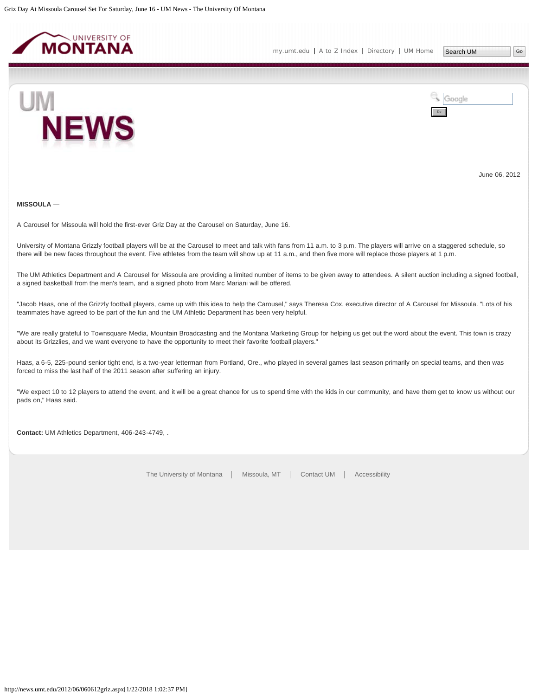<span id="page-26-0"></span>



June 06, 2012

# **MISSOULA** ―

A Carousel for Missoula will hold the first-ever Griz Day at the Carousel on Saturday, June 16.

University of Montana Grizzly football players will be at the Carousel to meet and talk with fans from 11 a.m. to 3 p.m. The players will arrive on a staggered schedule, so there will be new faces throughout the event. Five athletes from the team will show up at 11 a.m., and then five more will replace those players at 1 p.m.

The UM Athletics Department and A Carousel for Missoula are providing a limited number of items to be given away to attendees. A silent auction including a signed football, a signed basketball from the men's team, and a signed photo from Marc Mariani will be offered.

"Jacob Haas, one of the Grizzly football players, came up with this idea to help the Carousel," says Theresa Cox, executive director of A Carousel for Missoula. "Lots of his teammates have agreed to be part of the fun and the UM Athletic Department has been very helpful.

"We are really grateful to Townsquare Media, Mountain Broadcasting and the Montana Marketing Group for helping us get out the word about the event. This town is crazy about its Grizzlies, and we want everyone to have the opportunity to meet their favorite football players."

Haas, a 6-5, 225-pound senior tight end, is a two-year letterman from Portland, Ore., who played in several games last season primarily on special teams, and then was forced to miss the last half of the 2011 season after suffering an injury.

"We expect 10 to 12 players to attend the event, and it will be a great chance for us to spend time with the kids in our community, and have them get to know us without our pads on," Haas said.

**Contact:** UM Athletics Department, 406-243-4749, .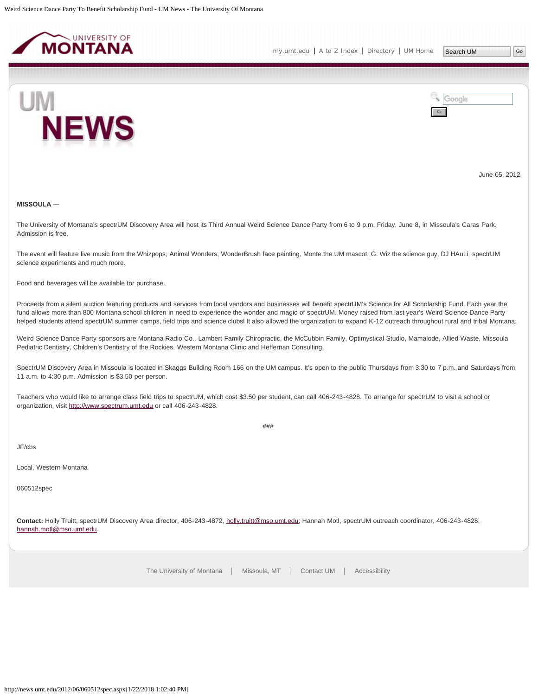<span id="page-27-0"></span>



June 05, 2012

# **MISSOULA ―**

The University of Montana's spectrUM Discovery Area will host its Third Annual Weird Science Dance Party from 6 to 9 p.m. Friday, June 8, in Missoula's Caras Park. Admission is free.

The event will feature live music from the Whizpops, Animal Wonders, WonderBrush face painting, Monte the UM mascot, G. Wiz the science guy, DJ HAuLi, spectrUM science experiments and much more.

Food and beverages will be available for purchase.

Proceeds from a silent auction featuring products and services from local vendors and businesses will benefit spectrUM's Science for All Scholarship Fund. Each year the fund allows more than 800 Montana school children in need to experience the wonder and magic of spectrUM. Money raised from last year's Weird Science Dance Party helped students attend spectrUM summer camps, field trips and science clubsl It also allowed the organization to expand K-12 outreach throughout rural and tribal Montana.

Weird Science Dance Party sponsors are Montana Radio Co., Lambert Family Chiropractic, the McCubbin Family, Optimystical Studio, Mamalode, Allied Waste, Missoula Pediatric Dentistry, Children's Dentistry of the Rockies, Western Montana Clinic and Heffernan Consulting.

SpectrUM Discovery Area in Missoula is located in Skaggs Building Room 166 on the UM campus. It's open to the public Thursdays from 3:30 to 7 p.m. and Saturdays from 11 a.m. to 4:30 p.m. Admission is \$3.50 per person.

Teachers who would like to arrange class field trips to spectrUM, which cost \$3.50 per student, can call 406-243-4828. To arrange for spectrUM to visit a school or organization, visit [http://www.spectrum.umt.edu](http://www.spectrum.umt.edu/) or call 406-243-4828.

###

JF/cbs

Local, Western Montana

060512spec

**Contact:** Holly Truitt, spectrUM Discovery Area director, 406-243-4872, [holly.truitt@mso.umt.edu;](mailto:holly.truitt@mso.umt.edu) Hannah Motl, spectrUM outreach coordinator, 406-243-4828, [hannah.motl@mso.umt.edu](mailto:hannah.motl@mso.umt.edu).